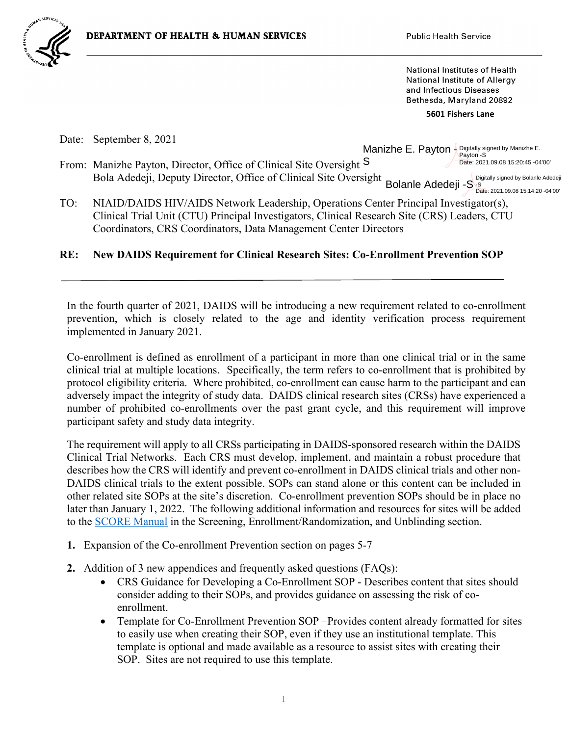

National Institutes of Health **National Institute of Allergy** and Infectious Diseases Bethesda, Maryland 20892

 **5601 Fishers Lane**

Date: September 8, 2021

From: Manizhe Payton, Director, Office of Clinical Site Oversight S Bola Adedeji, Deputy Director, Office of Clinical Site Oversight Manizhe E. Payton - Digitally signed by Manizhe E. Payton -S Date: 2021.09.08 15:20:45 -04'00'  $\mathsf{Bolane}\xspace$  Adedeji  $\mathsf{-S}\xspace^{\text{Digitally signed by Bolane}\xspace Adedeji}$ Date: 2021.09.08 15:14:20 -04'00'

TO: NIAID/DAIDS HIV/AIDS Network Leadership, Operations Center Principal Investigator(s), Clinical Trial Unit (CTU) Principal Investigators, Clinical Research Site (CRS) Leaders, CTU Coordinators, CRS Coordinators, Data Management Center Directors

## **RE: New DAIDS Requirement for Clinical Research Sites: Co-Enrollment Prevention SOP**

In the fourth quarter of 2021, DAIDS will be introducing a new requirement related to co-enrollment prevention, which is closely related to the age and identity verification process requirement implemented in January 2021.

Co-enrollment is defined as enrollment of a participant in more than one clinical trial or in the same clinical trial at multiple locations. Specifically, the term refers to co-enrollment that is prohibited by protocol eligibility criteria. Where prohibited, co-enrollment can cause harm to the participant and can adversely impact the integrity of study data. DAIDS clinical research sites (CRSs) have experienced a number of prohibited co-enrollments over the past grant cycle, and this requirement will improve participant safety and study data integrity.

The requirement will apply to all CRSs participating in DAIDS-sponsored research within the DAIDS Clinical Trial Networks. Each CRS must develop, implement, and maintain a robust procedure that describes how the CRS will identify and prevent co-enrollment in DAIDS clinical trials and other non-DAIDS clinical trials to the extent possible. SOPs can stand alone or this content can be included in other related site SOPs at the site's discretion. Co-enrollment prevention SOPs should be in place no later than January 1, 2022. The following additional information and resources for sites will be added to the [SCORE Manual](https://www.niaid.nih.gov/research/daids-score-manual) in the Screening, Enrollment/Randomization, and Unblinding section.

- **1.** Expansion of the Co-enrollment Prevention section on pages 5-7
- **2.** Addition of 3 new appendices and frequently asked questions (FAQs):
	- CRS Guidance for Developing a Co-Enrollment SOP Describes content that sites should consider adding to their SOPs, and provides guidance on assessing the risk of coenrollment.
	- Template for Co-Enrollment Prevention SOP –Provides content already formatted for sites to easily use when creating their SOP, even if they use an institutional template. This template is optional and made available as a resource to assist sites with creating their SOP. Sites are not required to use this template.